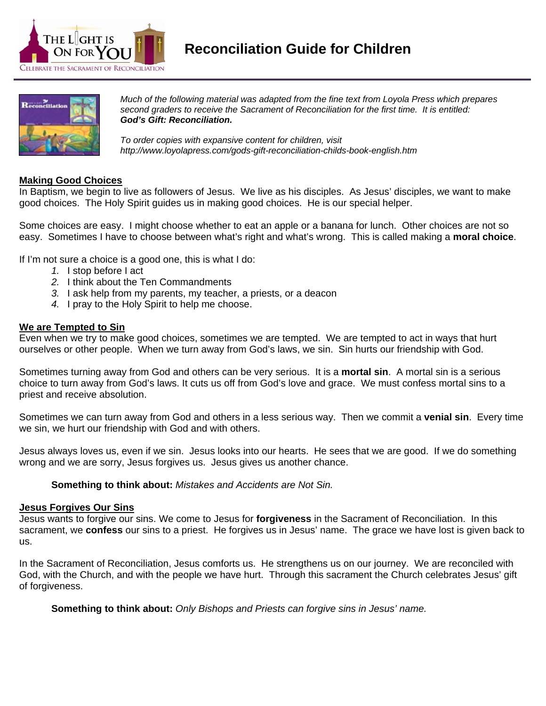



*Much of the following material was adapted from the fine text from Loyola Press which prepares second graders to receive the Sacrament of Reconciliation for the first time. It is entitled: God's Gift: Reconciliation.* 

*To order copies with expansive content for children, visit http://www.loyolapress.com/gods-gift-reconciliation-childs-book-english.htm*

# **Making Good Choices**

In Baptism, we begin to live as followers of Jesus. We live as his disciples. As Jesus' disciples, we want to make good choices. The Holy Spirit guides us in making good choices. He is our special helper.

Some choices are easy. I might choose whether to eat an apple or a banana for lunch. Other choices are not so easy. Sometimes I have to choose between what's right and what's wrong. This is called making a **moral choice**.

If I'm not sure a choice is a good one, this is what I do:

- *1.* I stop before I act
- *2.* I think about the Ten Commandments
- *3.* I ask help from my parents, my teacher, a priests, or a deacon
- *4.* I pray to the Holy Spirit to help me choose.

#### **We are Tempted to Sin**

Even when we try to make good choices, sometimes we are tempted. We are tempted to act in ways that hurt ourselves or other people. When we turn away from God's laws, we sin. Sin hurts our friendship with God.

Sometimes turning away from God and others can be very serious. It is a **mortal sin**. A mortal sin is a serious choice to turn away from God's laws. It cuts us off from God's love and grace. We must confess mortal sins to a priest and receive absolution.

Sometimes we can turn away from God and others in a less serious way. Then we commit a **venial sin**. Every time we sin, we hurt our friendship with God and with others.

Jesus always loves us, even if we sin. Jesus looks into our hearts. He sees that we are good. If we do something wrong and we are sorry, Jesus forgives us. Jesus gives us another chance.

**Something to think about:** *Mistakes and Accidents are Not Sin.* 

#### **Jesus Forgives Our Sins**

Jesus wants to forgive our sins. We come to Jesus for **forgiveness** in the Sacrament of Reconciliation. In this sacrament, we **confess** our sins to a priest. He forgives us in Jesus' name. The grace we have lost is given back to us.

In the Sacrament of Reconciliation, Jesus comforts us. He strengthens us on our journey. We are reconciled with God, with the Church, and with the people we have hurt. Through this sacrament the Church celebrates Jesus' gift of forgiveness.

**Something to think about:** *Only Bishops and Priests can forgive sins in Jesus' name.*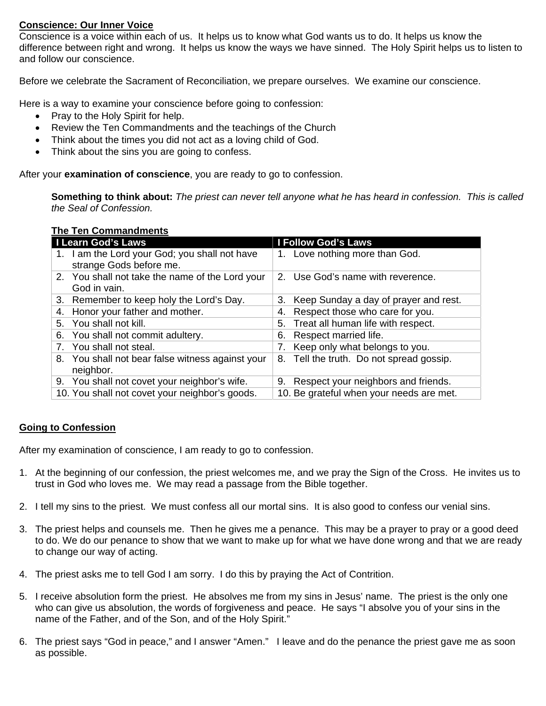# **Conscience: Our Inner Voice**

Conscience is a voice within each of us. It helps us to know what God wants us to do. It helps us know the difference between right and wrong. It helps us know the ways we have sinned. The Holy Spirit helps us to listen to and follow our conscience.

Before we celebrate the Sacrament of Reconciliation, we prepare ourselves. We examine our conscience.

Here is a way to examine your conscience before going to confession:

- Pray to the Holy Spirit for help.
- Review the Ten Commandments and the teachings of the Church
- Think about the times you did not act as a loving child of God.
- Think about the sins you are going to confess.

After your **examination of conscience**, you are ready to go to confession.

**Something to think about:** *The priest can never tell anyone what he has heard in confession. This is called the Seal of Confession.* 

### **The Ten Commandments**

| I Learn God's Laws                                                       | <b>I Follow God's Laws</b>                  |
|--------------------------------------------------------------------------|---------------------------------------------|
| 1. I am the Lord your God; you shall not have<br>strange Gods before me. | 1. Love nothing more than God.              |
| 2. You shall not take the name of the Lord your<br>God in vain.          | 2. Use God's name with reverence.           |
| 3. Remember to keep holy the Lord's Day.                                 | Keep Sunday a day of prayer and rest.<br>3. |
| 4. Honor your father and mother.                                         | Respect those who care for you.<br>4.       |
| 5. You shall not kill.                                                   | Treat all human life with respect.<br>5.    |
| 6. You shall not commit adultery.                                        | Respect married life.<br>6.                 |
| 7. You shall not steal.                                                  | Keep only what belongs to you.<br>7.        |
| 8. You shall not bear false witness against your<br>neighbor.            | 8. Tell the truth. Do not spread gossip.    |
| 9. You shall not covet your neighbor's wife.                             | Respect your neighbors and friends.<br>9.   |
| 10. You shall not covet your neighbor's goods.                           | 10. Be grateful when your needs are met.    |

# **Going to Confession**

After my examination of conscience, I am ready to go to confession.

- 1. At the beginning of our confession, the priest welcomes me, and we pray the Sign of the Cross. He invites us to trust in God who loves me. We may read a passage from the Bible together.
- 2. I tell my sins to the priest. We must confess all our mortal sins. It is also good to confess our venial sins.
- 3. The priest helps and counsels me. Then he gives me a penance. This may be a prayer to pray or a good deed to do. We do our penance to show that we want to make up for what we have done wrong and that we are ready to change our way of acting.
- 4. The priest asks me to tell God I am sorry. I do this by praying the Act of Contrition.
- 5. I receive absolution form the priest. He absolves me from my sins in Jesus' name. The priest is the only one who can give us absolution, the words of forgiveness and peace. He says "I absolve you of your sins in the name of the Father, and of the Son, and of the Holy Spirit."
- 6. The priest says "God in peace," and I answer "Amen." I leave and do the penance the priest gave me as soon as possible.